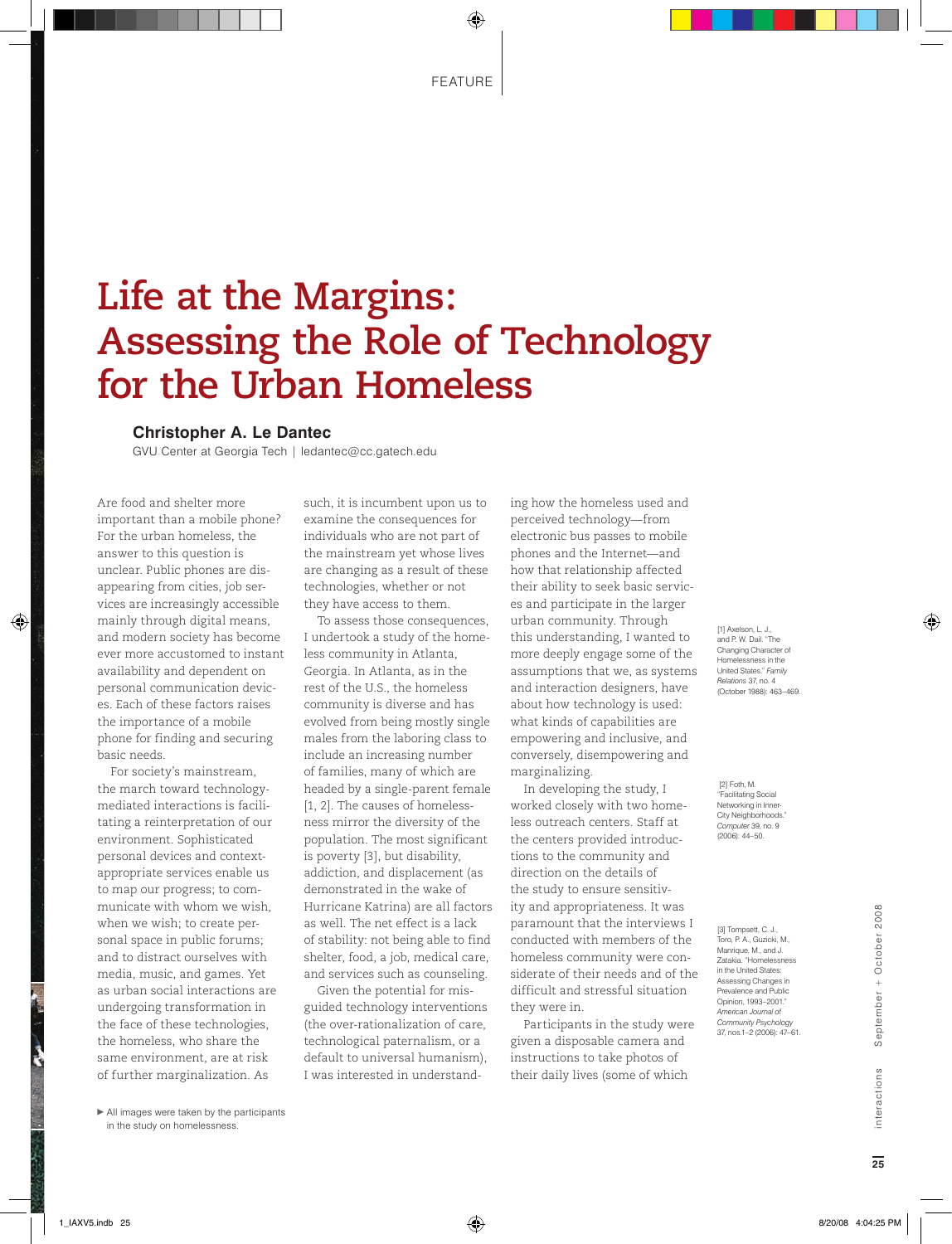## **Life at the Margins: Assessing the Role of Technology for the Urban Homeless**

## **Christopher A. Le Dantec**

GVU Center at Georgia Tech | ledantec@cc.gatech.edu

Are food and shelter more important than a mobile phone? For the urban homeless, the answer to this question is unclear. Public phones are disappearing from cities, job services are increasingly accessible mainly through digital means, and modern society has become ever more accustomed to instant availability and dependent on personal communication devices. Each of these factors raises the importance of a mobile phone for finding and securing basic needs.

For society's mainstream, the march toward technologymediated interactions is facilitating a reinterpretation of our environment. Sophisticated personal devices and contextappropriate services enable us to map our progress; to communicate with whom we wish, when we wish; to create personal space in public forums; and to distract ourselves with media, music, and games. Yet as urban social interactions are undergoing transformation in the face of these technologies, the homeless, who share the same environment, are at risk of further marginalization. As

such, it is incumbent upon us to examine the consequences for individuals who are not part of the mainstream yet whose lives are changing as a result of these technologies, whether or not they have access to them.

To assess those consequences, I undertook a study of the homeless community in Atlanta, Georgia. In Atlanta, as in the rest of the U.S., the homeless community is diverse and has evolved from being mostly single males from the laboring class to include an increasing number of families, many of which are headed by a single-parent female [1, 2]. The causes of homelessness mirror the diversity of the population. The most significant is poverty [3], but disability, addiction, and displacement (as demonstrated in the wake of Hurricane Katrina) are all factors as well. The net effect is a lack of stability: not being able to find shelter, food, a job, medical care, and services such as counseling.

Given the potential for misguided technology interventions (the over-rationalization of care, technological paternalism, or a default to universal humanism), I was interested in understanding how the homeless used and perceived technology—from electronic bus passes to mobile phones and the Internet—and how that relationship affected their ability to seek basic services and participate in the larger urban community. Through this understanding, I wanted to more deeply engage some of the assumptions that we, as systems and interaction designers, have about how technology is used: what kinds of capabilities are empowering and inclusive, and conversely, disempowering and marginalizing.

In developing the study, I worked closely with two homeless outreach centers. Staff at the centers provided introductions to the community and direction on the details of the study to ensure sensitivity and appropriateness. It was paramount that the interviews I conducted with members of the homeless community were considerate of their needs and of the difficult and stressful situation they were in.

Participants in the study were given a disposable camera and instructions to take photos of their daily lives (some of which

[1] Axelson, L. J., . . .<br>and P. W. Dail. "The Changing Character of Homelessness in the United States." *Family Relations* 37, no. 4 (October 1988): 463–469.

 [2] Foth, M. .<br>'Facilitating Social Networking in Inner-City Neighborhoods. *Computer* 39, no. 9  $(2006) \cdot 44$ –50

[3] Tompsett, C. J., Toro, P. A., Guzicki, M., Manrique, M., and J. Zatakia. "Homelessness in the United States: Assessing Changes in Prevalence and Public Opinion, 1993–2001." *American Journal of Community Psychology* 37, nos.1–2 (2006): 47–61.

 $\blacktriangleright$  All images were taken by the participants in the study on homelessness.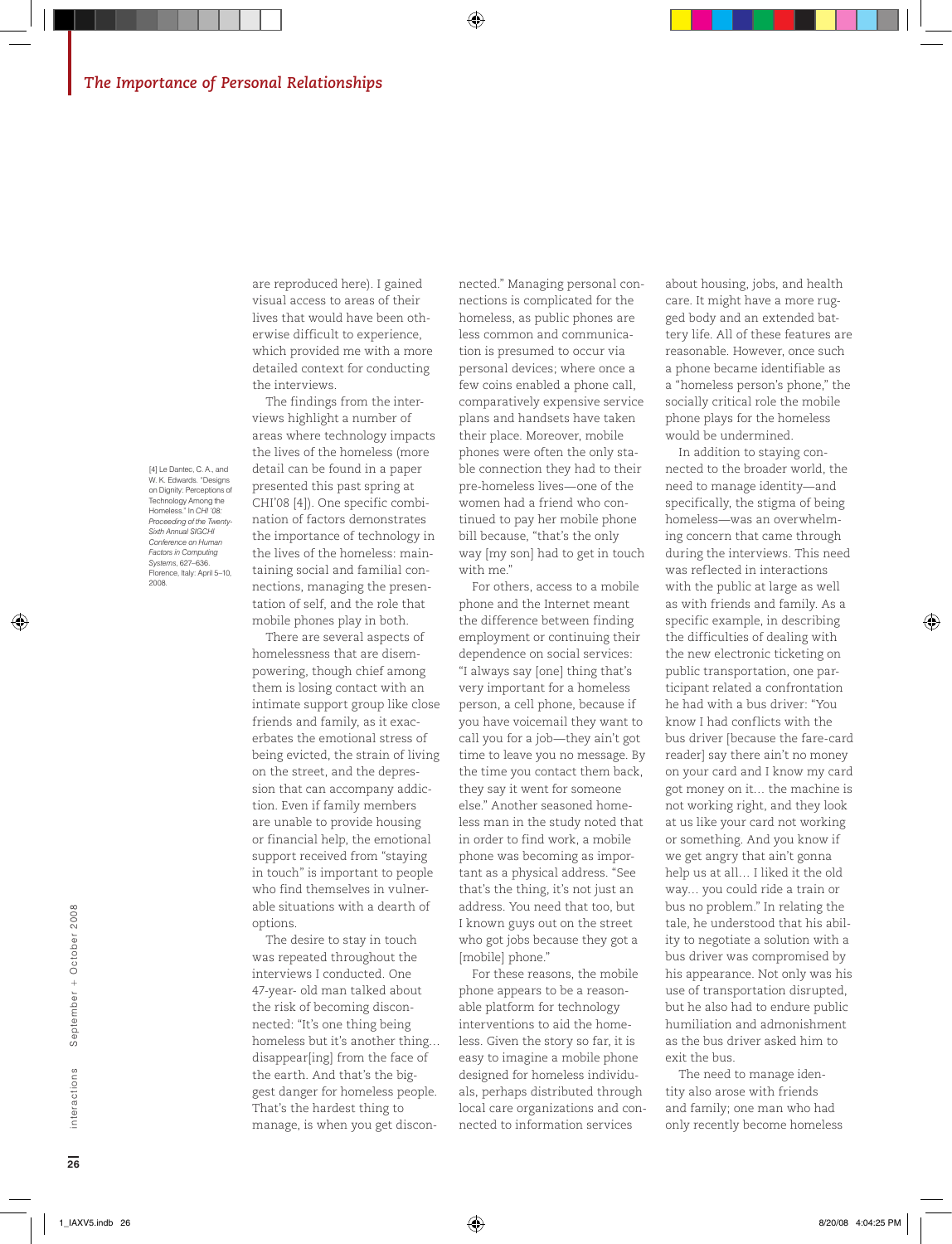are reproduced here). I gained visual access to areas of their lives that would have been otherwise difficult to experience, which provided me with a more detailed context for conducting the interviews.

The findings from the interviews highlight a number of areas where technology impacts the lives of the homeless (more detail can be found in a paper presented this past spring at CHI'08 [4]). One specific combination of factors demonstrates the importance of technology in the lives of the homeless: maintaining social and familial connections, managing the presentation of self, and the role that mobile phones play in both.

There are several aspects of homelessness that are disempowering, though chief among them is losing contact with an intimate support group like close friends and family, as it exacerbates the emotional stress of being evicted, the strain of living on the street, and the depression that can accompany addiction. Even if family members are unable to provide housing or financial help, the emotional support received from "staying in touch" is important to people who find themselves in vulnerable situations with a dearth of options.

The desire to stay in touch was repeated throughout the interviews I conducted. One 47-year- old man talked about the risk of becoming disconnected: "It's one thing being homeless but it's another thing… disappear[ing] from the face of the earth. And that's the biggest danger for homeless people. That's the hardest thing to manage, is when you get discon-

nected." Managing personal connections is complicated for the homeless, as public phones are less common and communication is presumed to occur via personal devices; where once a few coins enabled a phone call, comparatively expensive service plans and handsets have taken their place. Moreover, mobile phones were often the only stable connection they had to their pre-homeless lives—one of the women had a friend who continued to pay her mobile phone bill because, "that's the only way [my son] had to get in touch with me."

For others, access to a mobile phone and the Internet meant the difference between finding employment or continuing their dependence on social services: "I always say [one] thing that's very important for a homeless person, a cell phone, because if you have voicemail they want to call you for a job—they ain't got time to leave you no message. By the time you contact them back, they say it went for someone else." Another seasoned homeless man in the study noted that in order to find work, a mobile phone was becoming as important as a physical address. "See that's the thing, it's not just an address. You need that too, but I known guys out on the street who got jobs because they got a [mobile] phone."

For these reasons, the mobile phone appears to be a reasonable platform for technology interventions to aid the homeless. Given the story so far, it is easy to imagine a mobile phone designed for homeless individuals, perhaps distributed through local care organizations and connected to information services

about housing, jobs, and health care. It might have a more rugged body and an extended battery life. All of these features are reasonable. However, once such a phone became identifiable as a "homeless person's phone," the socially critical role the mobile phone plays for the homeless would be undermined.

In addition to staying connected to the broader world, the need to manage identity—and specifically, the stigma of being homeless—was an overwhelming concern that came through during the interviews. This need was reflected in interactions with the public at large as well as with friends and family. As a specific example, in describing the difficulties of dealing with the new electronic ticketing on public transportation, one participant related a confrontation he had with a bus driver: "You know I had conflicts with the bus driver [because the fare-card reader] say there ain't no money on your card and I know my card got money on it… the machine is not working right, and they look at us like your card not working or something. And you know if we get angry that ain't gonna help us at all… I liked it the old way… you could ride a train or bus no problem." In relating the tale, he understood that his ability to negotiate a solution with a bus driver was compromised by his appearance. Not only was his use of transportation disrupted, but he also had to endure public humiliation and admonishment as the bus driver asked him to exit the bus.

The need to manage identity also arose with friends and family; one man who had only recently become homeless

[4] Le Dantec, C. A., and W. K. Edwards. "Designs on Dignity: Perceptions of Technology Among the Homeless." In *CHI '08: Proceeding of the Twenty-Sixth Annual SIGCHI Conference on Human Factors in Computing Systems*, 627–636. Florence, Italy: April 5–10, 2008.